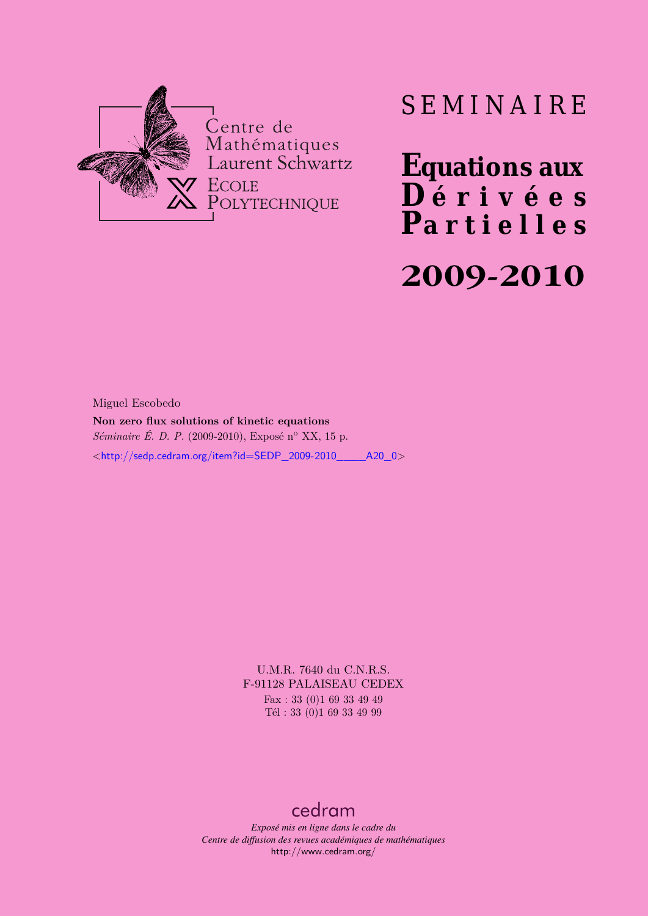

# SEMINAIRE

**Equations aux**  $\overline{\mathbf{D}}$  érivées **Partielles**

# **2009-2010**

Miguel Escobedo **Non zero flux solutions of kinetic equations** *Séminaire É. D. P.* (2009-2010), Exposé n<sup>o</sup> XX, 15 p. <[http://sedp.cedram.org/item?id=SEDP\\_2009-2010\\_\\_\\_\\_A20\\_0](http://sedp.cedram.org/item?id=SEDP_2009-2010____A20_0)>

> U.M.R. 7640 du C.N.R.S. F-91128 PALAISEAU CEDEX Fax : 33 (0)1 69 33 49 49 Tél : 33 (0)1 69 33 49 99

# [cedram](http://www.cedram.org/)

*Exposé mis en ligne dans le cadre du Centre de diffusion des revues académiques de mathématiques* <http://www.cedram.org/>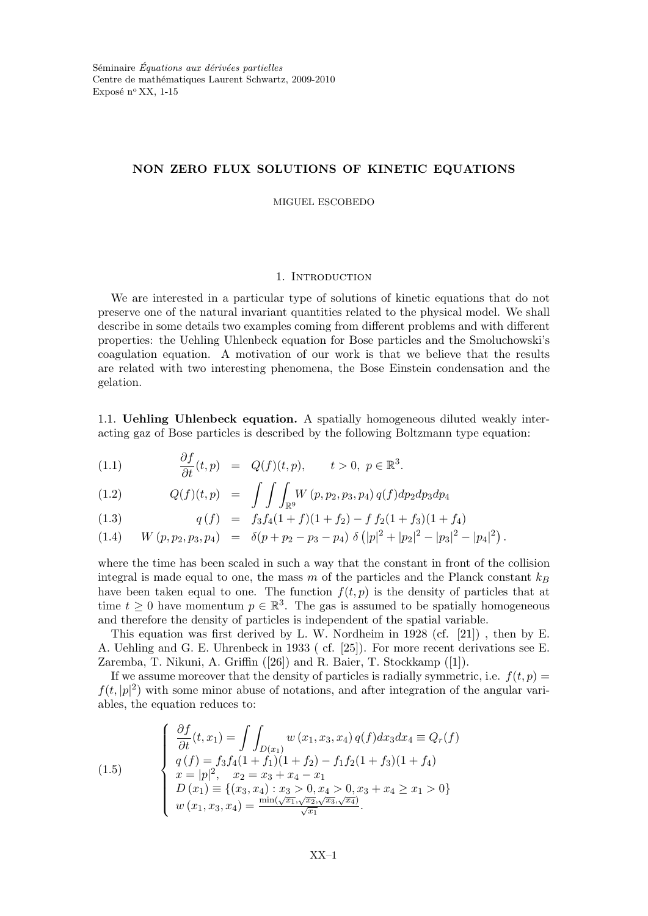## NON ZERO FLUX SOLUTIONS OF KINETIC EQUATIONS

MIGUEL ESCOBEDO

#### 1. INTRODUCTION

We are interested in a particular type of solutions of kinetic equations that do not preserve one of the natural invariant quantities related to the physical model. We shall describe in some details two examples coming from different problems and with different properties: the Uehling Uhlenbeck equation for Bose particles and the Smoluchowski's coagulation equation. A motivation of our work is that we believe that the results are related with two interesting phenomena, the Bose Einstein condensation and the gelation.

1.1. Uehling Uhlenbeck equation. A spatially homogeneous diluted weakly interacting gaz of Bose particles is described by the following Boltzmann type equation:

(1.1) 
$$
\frac{\partial f}{\partial t}(t, p) = Q(f)(t, p), \qquad t > 0, \ p \in \mathbb{R}^3.
$$

(1.2) 
$$
Q(f)(t,p) = \int \int \int_{\mathbb{R}^9} W(p,p_2,p_3,p_4) q(f) dp_2 dp_3 dp_4
$$

(1.3) 
$$
q(f) = f_3 f_4 (1+f)(1+f_2) - f f_2 (1+f_3)(1+f_4)
$$

(1.4) 
$$
W(p, p_2, p_3, p_4) = \delta(p + p_2 - p_3 - p_4) \delta(|p|^2 + |p_2|^2 - |p_3|^2 - |p_4|^2).
$$

where the time has been scaled in such a way that the constant in front of the collision integral is made equal to one, the mass m of the particles and the Planck constant  $k_B$ have been taken equal to one. The function  $f(t, p)$  is the density of particles that at time  $t \geq 0$  have momentum  $p \in \mathbb{R}^3$ . The gas is assumed to be spatially homogeneous and therefore the density of particles is independent of the spatial variable.

This equation was first derived by L. W. Nordheim in 1928 (cf. [21]) , then by E. A. Uehling and G. E. Uhrenbeck in 1933 ( cf. [25]). For more recent derivations see E. Zaremba, T. Nikuni, A. Griffin ([26]) and R. Baier, T. Stockkamp ([1]).

If we assume moreover that the density of particles is radially symmetric, i.e.  $f(t, p) =$  $f(t, |p|^2)$  with some minor abuse of notations, and after integration of the angular variables, the equation reduces to:

(1.5)  
\n
$$
\begin{cases}\n\frac{\partial f}{\partial t}(t, x_1) = \int \int_{D(x_1)} w(x_1, x_3, x_4) q(f) dx_3 dx_4 \equiv Q_r(f) \\
q(f) = f_3 f_4 (1 + f_1)(1 + f_2) - f_1 f_2 (1 + f_3)(1 + f_4) \\
x = |p|^2, \quad x_2 = x_3 + x_4 - x_1 \\
D(x_1) \equiv \{(x_3, x_4) : x_3 > 0, x_4 > 0, x_3 + x_4 \ge x_1 > 0\} \\
w(x_1, x_3, x_4) = \frac{\min(\sqrt{x_1}, \sqrt{x_2}, \sqrt{x_3}, \sqrt{x_4})}{\sqrt{x_1}}.\n\end{cases}
$$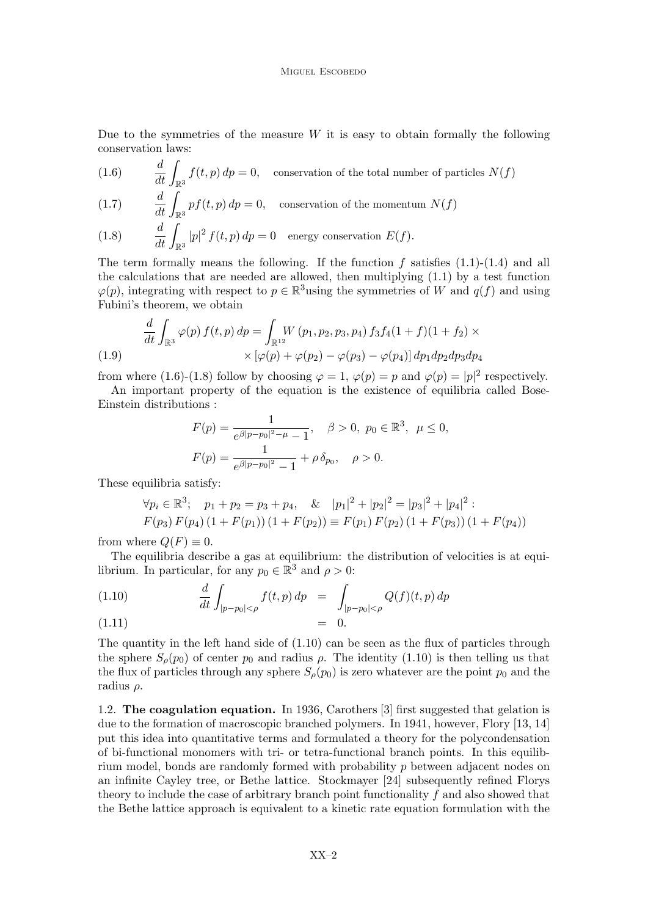Due to the symmetries of the measure  $W$  it is easy to obtain formally the following conservation laws:

(1.6) 
$$
\frac{d}{dt} \int_{\mathbb{R}^3} f(t, p) dp = 0, \quad \text{conservation of the total number of particles } N(f)
$$

(1.7) 
$$
\frac{d}{dt} \int_{\mathbb{R}^3} pf(t, p) dp = 0, \quad \text{conservation of the momentum } N(f)
$$

(1.8) 
$$
\frac{d}{dt} \int_{\mathbb{R}^3} |p|^2 f(t, p) dp = 0 \quad \text{energy conservation } E(f).
$$

The term formally means the following. If the function  $f$  satisfies  $(1.1)-(1.4)$  and all the calculations that are needed are allowed, then multiplying (1.1) by a test function  $\varphi(p)$ , integrating with respect to  $p \in \mathbb{R}^3$  using the symmetries of W and  $q(f)$  and using Fubini's theorem, we obtain

(1.9) 
$$
\frac{d}{dt} \int_{\mathbb{R}^3} \varphi(p) f(t, p) dp = \int_{\mathbb{R}^{12}} W(p_1, p_2, p_3, p_4) f_3 f_4(1+f)(1+f_2) \times \\ \times [\varphi(p) + \varphi(p_2) - \varphi(p_3) - \varphi(p_4)] dp_1 dp_2 dp_3 dp_4
$$

from where (1.6)-(1.8) follow by choosing  $\varphi = 1$ ,  $\varphi(p) = p$  and  $\varphi(p) = |p|^2$  respectively.

An important property of the equation is the existence of equilibria called Bose-Einstein distributions :

$$
F(p) = \frac{1}{e^{\beta|p - p_0|^2 - \mu} - 1}, \quad \beta > 0, \ p_0 \in \mathbb{R}^3, \ \mu \le 0,
$$
  

$$
F(p) = \frac{1}{e^{\beta|p - p_0|^2} - 1} + \rho \delta_{p_0}, \quad \rho > 0.
$$

These equilibria satisfy:

$$
\forall p_i \in \mathbb{R}^3; \quad p_1 + p_2 = p_3 + p_4, \quad \& \quad |p_1|^2 + |p_2|^2 = |p_3|^2 + |p_4|^2 : F(p_3) F(p_4) (1 + F(p_1)) (1 + F(p_2)) \equiv F(p_1) F(p_2) (1 + F(p_3)) (1 + F(p_4))
$$

from where  $Q(F) \equiv 0$ .

The equilibria describe a gas at equilibrium: the distribution of velocities is at equilibrium. In particular, for any  $p_0 \in \mathbb{R}^3$  and  $\rho > 0$ :

(1.10) 
$$
\frac{d}{dt} \int_{|p-p_0| < \rho} f(t, p) dp = \int_{|p-p_0| < \rho} Q(f)(t, p) dp
$$
  
= 0.

The quantity in the left hand side of (1.10) can be seen as the flux of particles through  
the sphere 
$$
S_{\rho}(p_0)
$$
 of center  $p_0$  and radius  $\rho$ . The identity (1.10) is then telling us that  
the flux of particles through any sphere  $S_{\rho}(p_0)$  is zero whatever are the point  $p_0$  and the  
radius  $\rho$ .

1.2. The coagulation equation. In 1936, Carothers [3] first suggested that gelation is due to the formation of macroscopic branched polymers. In 1941, however, Flory [13, 14] put this idea into quantitative terms and formulated a theory for the polycondensation of bi-functional monomers with tri- or tetra-functional branch points. In this equilibrium model, bonds are randomly formed with probability p between adjacent nodes on an infinite Cayley tree, or Bethe lattice. Stockmayer [24] subsequently refined Florys theory to include the case of arbitrary branch point functionality f and also showed that the Bethe lattice approach is equivalent to a kinetic rate equation formulation with the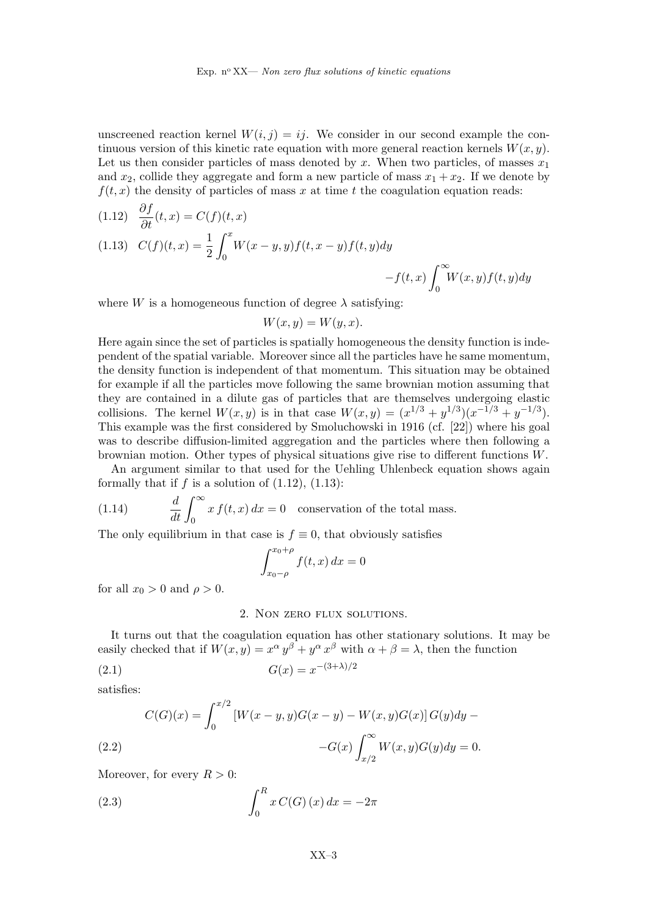unscreened reaction kernel  $W(i, j) = ij$ . We consider in our second example the continuous version of this kinetic rate equation with more general reaction kernels  $W(x, y)$ . Let us then consider particles of mass denoted by x. When two particles, of masses  $x_1$ and  $x_2$ , collide they aggregate and form a new particle of mass  $x_1 + x_2$ . If we denote by  $f(t, x)$  the density of particles of mass x at time t the coagulation equation reads:

(1.12) 
$$
\frac{\partial f}{\partial t}(t, x) = C(f)(t, x)
$$
  
(1.13) 
$$
C(f)(t, x) = \frac{1}{2} \int_0^x W(x - y, y) f(t, x - y) f(t, y) dy
$$

$$
-f(t, x) \int_0^\infty W(x, y) f(t, y) dy
$$

where W is a homogeneous function of degree  $\lambda$  satisfying:

$$
W(x, y) = W(y, x).
$$

Here again since the set of particles is spatially homogeneous the density function is independent of the spatial variable. Moreover since all the particles have he same momentum, the density function is independent of that momentum. This situation may be obtained for example if all the particles move following the same brownian motion assuming that they are contained in a dilute gas of particles that are themselves undergoing elastic collisions. The kernel  $W(x, y)$  is in that case  $W(x, y) = (x^{1/3} + y^{1/3})(x^{-1/3} + y^{-1/3})$ . This example was the first considered by Smoluchowski in 1916 (cf. [22]) where his goal was to describe diffusion-limited aggregation and the particles where then following a brownian motion. Other types of physical situations give rise to different functions W.

An argument similar to that used for the Uehling Uhlenbeck equation shows again formally that if  $f$  is a solution of  $(1.12)$ ,  $(1.13)$ :

(1.14) 
$$
\frac{d}{dt} \int_0^\infty x f(t, x) dx = 0
$$
 conservation of the total mass.

The only equilibrium in that case is  $f \equiv 0$ , that obviously satisfies

$$
\int_{x_0-\rho}^{x_0+\rho} f(t,x) dx = 0
$$

for all  $x_0 > 0$  and  $\rho > 0$ .

### 2. Non zero flux solutions.

It turns out that the coagulation equation has other stationary solutions. It may be easily checked that if  $W(x, y) = x^{\alpha} y^{\beta} + y^{\alpha} x^{\beta}$  with  $\alpha + \beta = \lambda$ , then the function

(2.1) 
$$
G(x) = x^{-(3+\lambda)/2}
$$

satisfies:

(2.2) 
$$
C(G)(x) = \int_0^{x/2} [W(x - y, y)G(x - y) - W(x, y)G(x)]G(y)dy -
$$

$$
-G(x)\int_{x/2}^{\infty} W(x, y)G(y)dy = 0.
$$

Moreover, for every  $R > 0$ :

(2.3) 
$$
\int_0^R x C(G) (x) dx = -2\pi
$$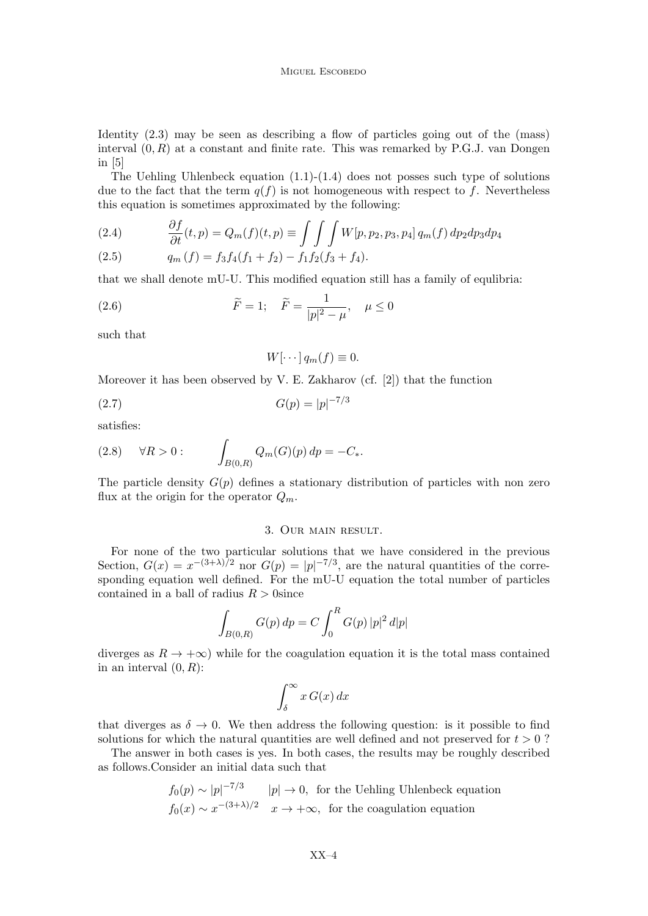Identity (2.3) may be seen as describing a flow of particles going out of the (mass) interval  $(0, R)$  at a constant and finite rate. This was remarked by P.G.J. van Dongen in [5]

The Uehling Uhlenbeck equation  $(1.1)-(1.4)$  does not posses such type of solutions due to the fact that the term  $q(f)$  is not homogeneous with respect to f. Nevertheless this equation is sometimes approximated by the following:

(2.4) 
$$
\frac{\partial f}{\partial t}(t, p) = Q_m(f)(t, p) \equiv \int \int \int W[p, p_2, p_3, p_4] q_m(f) dp_2 dp_3 dp_4
$$

(2.5) 
$$
q_m(f) = f_3 f_4(f_1 + f_2) - f_1 f_2(f_3 + f_4).
$$

that we shall denote mU-U. This modified equation still has a family of equlibria:

(2.6) 
$$
\widetilde{F} = 1; \quad \widetilde{F} = \frac{1}{|p|^2 - \mu}, \quad \mu \le 0
$$

such that

$$
W[\cdots] q_m(f) \equiv 0.
$$

Moreover it has been observed by V. E. Zakharov (cf. [2]) that the function

$$
(2.7) \tG(p) = |p|^{-7/3}
$$

satisfies:

(2.8) 
$$
\forall R > 0:
$$
 
$$
\int_{B(0,R)} Q_m(G)(p) dp = -C_*.
$$

The particle density  $G(p)$  defines a stationary distribution of particles with non zero flux at the origin for the operator  $Q_m$ .

#### 3. Our main result.

For none of the two particular solutions that we have considered in the previous Section,  $G(x) = x^{-(3+\lambda)/2}$  nor  $G(p) = |p|^{-7/3}$ , are the natural quantities of the corresponding equation well defined. For the mU-U equation the total number of particles contained in a ball of radius  $R > 0$ since

$$
\int_{B(0,R)} G(p) \, dp = C \int_0^R G(p) \, |p|^2 \, d|p|
$$

diverges as  $R \to +\infty$ ) while for the coagulation equation it is the total mass contained in an interval  $(0, R)$ :

$$
\int_{\delta}^{\infty} x \, G(x) \, dx
$$

that diverges as  $\delta \to 0$ . We then address the following question: is it possible to find solutions for which the natural quantities are well defined and not preserved for  $t > 0$ ?

The answer in both cases is yes. In both cases, the results may be roughly described as follows.Consider an initial data such that

$$
f_0(p) \sim |p|^{-7/3}
$$
  $|p| \to 0$ , for the Uehling Uhlenbeck equation  
 $f_0(x) \sim x^{-(3+\lambda)/2}$   $x \to +\infty$ , for the coagulation equation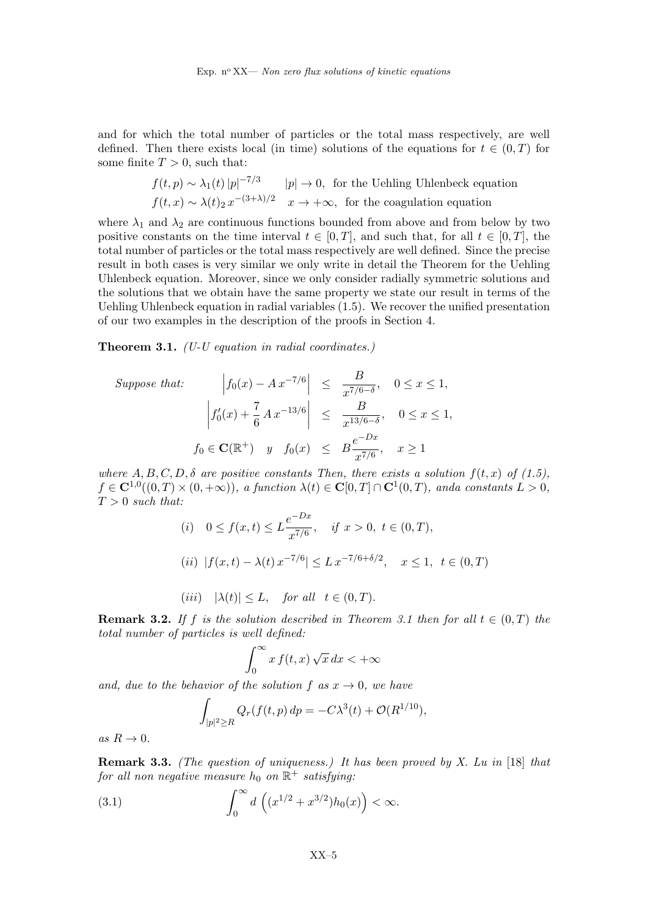and for which the total number of particles or the total mass respectively, are well defined. Then there exists local (in time) solutions of the equations for  $t \in (0,T)$  for some finite  $T > 0$ , such that:

$$
f(t, p) \sim \lambda_1(t) |p|^{-7/3}
$$
  $|p| \to 0$ , for the Uehling Uhlenbeck equation  
 $f(t, x) \sim \lambda(t)_2 x^{-(3+\lambda)/2}$   $x \to +\infty$ , for the coagulation equation

where  $\lambda_1$  and  $\lambda_2$  are continuous functions bounded from above and from below by two positive constants on the time interval  $t \in [0, T]$ , and such that, for all  $t \in [0, T]$ , the total number of particles or the total mass respectively are well defined. Since the precise result in both cases is very similar we only write in detail the Theorem for the Uehling Uhlenbeck equation. Moreover, since we only consider radially symmetric solutions and the solutions that we obtain have the same property we state our result in terms of the Uehling Uhlenbeck equation in radial variables (1.5). We recover the unified presentation of our two examples in the description of the proofs in Section 4.

**Theorem 3.1.** (U-U equation in radial coordinates.)

Suppose that: 
$$
|f_0(x) - Ax^{-7/6}| \le \frac{B}{x^{7/6-\delta}}, \quad 0 \le x \le 1,
$$
  

$$
\left| f'_0(x) + \frac{7}{6}Ax^{-13/6} \right| \le \frac{B}{x^{13/6-\delta}}, \quad 0 \le x \le 1,
$$

$$
f_0 \in \mathbf{C}(\mathbb{R}^+) \quad y \quad f_0(x) \le B \frac{e^{-Dx}}{x^{7/6}}, \quad x \ge 1
$$

where  $A, B, C, D, \delta$  are positive constants Then, there exists a solution  $f(t, x)$  of (1.5),  $f \in \mathbf{C}^{1,0}((0,T) \times (0,+\infty))$ , a function  $\lambda(t) \in \mathbf{C}[0,T] \cap \mathbf{C}^1(0,T)$ , anda constants  $L > 0$ ,  $T > 0$  such that:

(i) 
$$
0 \le f(x,t) \le L \frac{e^{-Dx}}{x^{7/6}},
$$
 if  $x > 0$ ,  $t \in (0,T)$ ,  
\n(ii)  $|f(x,t) - \lambda(t) x^{-7/6}| \le L x^{-7/6 + \delta/2},$   $x \le 1$ ,  $t \in (0,T)$   
\n(iii)  $|\lambda(t)| \le L$ , for all  $t \in (0,T)$ .

**Remark 3.2.** If f is the solution described in Theorem 3.1 then for all  $t \in (0,T)$  the total number of particles is well defined:

$$
\int_0^\infty x \, f(t, x) \sqrt{x} \, dx < +\infty
$$

and, due to the behavior of the solution f as  $x \to 0$ , we have

$$
\int_{|p|^2 \ge R} Q_r(f(t, p) dp = -C\lambda^3(t) + \mathcal{O}(R^{1/10}),
$$

as  $R \to 0$ .

Remark 3.3. (The question of uniqueness.) It has been proved by X. Lu in [18] that  ${\it for\ all\ non\ negative\ measure\ } h_0\ {\it on}\ {\mathbb R }^+\ {\it satisfying:}$ 

(3.1) 
$$
\int_0^\infty d\left( (x^{1/2} + x^{3/2}) h_0(x) \right) < \infty.
$$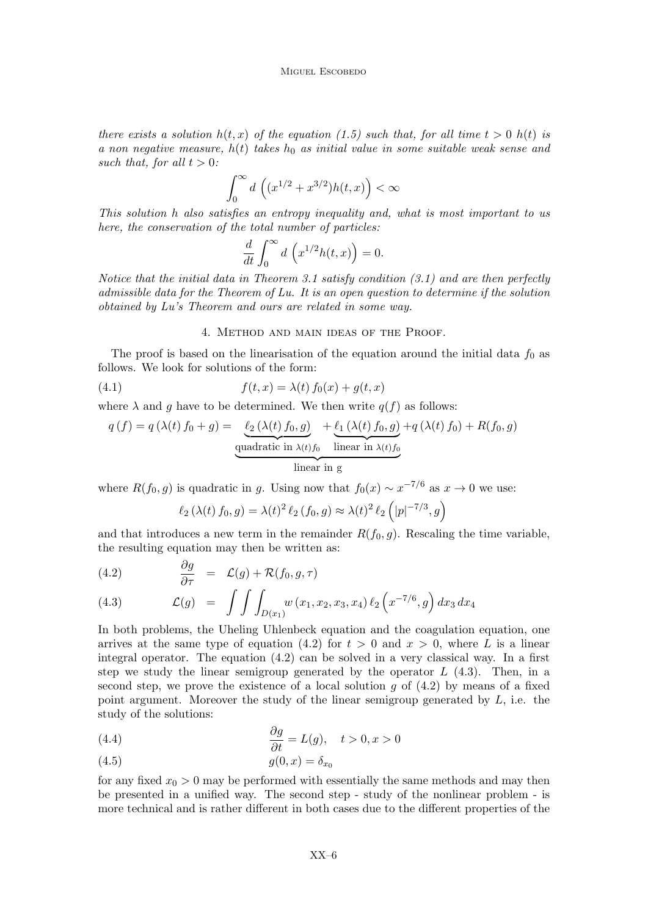there exists a solution  $h(t, x)$  of the equation (1.5) such that, for all time  $t > 0$   $h(t)$  is a non negative measure,  $h(t)$  takes  $h_0$  as initial value in some suitable weak sense and such that, for all  $t > 0$ :

$$
\int_0^\infty d\,\left( (x^{1/2} + x^{3/2}) h(t, x) \right) < \infty
$$

This solution h also satisfies an entropy inequality and, what is most important to us here, the conservation of the total number of particles:

$$
\frac{d}{dt} \int_0^\infty d\left(x^{1/2} h(t, x)\right) = 0.
$$

Notice that the initial data in Theorem 3.1 satisfy condition  $(3.1)$  and are then perfectly admissible data for the Theorem of Lu. It is an open question to determine if the solution obtained by Lu's Theorem and ours are related in some way.

#### 4. Method and main ideas of the Proof.

The proof is based on the linearisation of the equation around the initial data  $f_0$  as follows. We look for solutions of the form:

(4.1) 
$$
f(t,x) = \lambda(t) f_0(x) + g(t,x)
$$

where  $\lambda$  and g have to be determined. We then write  $q(f)$  as follows:

$$
q(f) = q(\lambda(t) f_0 + g) = \underbrace{\ell_2(\lambda(t) f_0, g)}_{\text{quadratic in } \lambda(t) f_0} + \underbrace{\ell_1(\lambda(t) f_0, g)}_{\text{linear in } \lambda(t) f_0} + q(\lambda(t) f_0) + R(f_0, g)
$$

where  $R(f_0, g)$  is quadratic in g. Using now that  $f_0(x) \sim x^{-7/6}$  as  $x \to 0$  we use:

$$
\ell_2(\lambda(t) f_0, g) = \lambda(t)^2 \ell_2(f_0, g) \approx \lambda(t)^2 \ell_2\left(|p|^{-7/3}, g\right)
$$

and that introduces a new term in the remainder  $R(f_0, g)$ . Rescaling the time variable, the resulting equation may then be written as:

(4.2) 
$$
\frac{\partial g}{\partial \tau} = \mathcal{L}(g) + \mathcal{R}(f_0, g, \tau)
$$

(4.3) 
$$
\mathcal{L}(g) = \int \int \int_{D(x_1)} w(x_1, x_2, x_3, x_4) \ell_2(x^{-7/6}, g) dx_3 dx_4
$$

In both problems, the Uheling Uhlenbeck equation and the coagulation equation, one arrives at the same type of equation (4.2) for  $t > 0$  and  $x > 0$ , where L is a linear integral operator. The equation  $(4.2)$  can be solved in a very classical way. In a first step we study the linear semigroup generated by the operator  $L(4.3)$ . Then, in a second step, we prove the existence of a local solution q of  $(4.2)$  by means of a fixed point argument. Moreover the study of the linear semigroup generated by  $L$ , i.e. the study of the solutions:

(4.4) 
$$
\frac{\partial g}{\partial t} = L(g), \quad t > 0, x > 0
$$

$$
(4.5) \t\t g(0,x) = \delta_{x_0}
$$

for any fixed  $x_0 > 0$  may be performed with essentially the same methods and may then be presented in a unified way. The second step - study of the nonlinear problem - is more technical and is rather different in both cases due to the different properties of the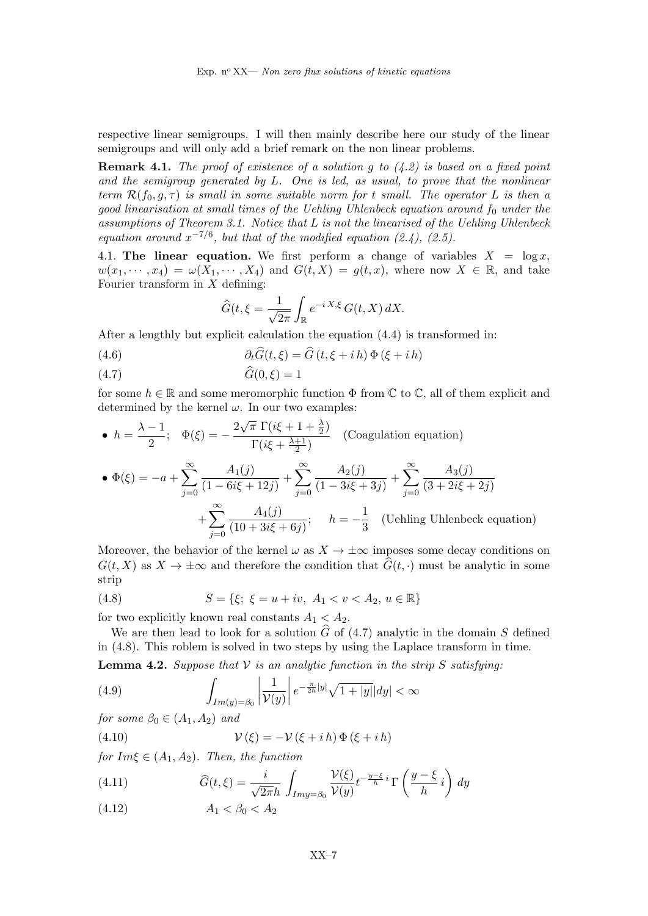respective linear semigroups. I will then mainly describe here our study of the linear semigroups and will only add a brief remark on the non linear problems.

**Remark 4.1.** The proof of existence of a solution q to  $(4.2)$  is based on a fixed point and the semigroup generated by L. One is led, as usual, to prove that the nonlinear term  $\mathcal{R}(f_0, g, \tau)$  is small in some suitable norm for t small. The operator L is then a good linearisation at small times of the Uehling Uhlenbeck equation around  $f_0$  under the assumptions of Theorem 3.1. Notice that L is not the linearised of the Uehling Uhlenbeck equation around  $x^{-7/6}$ , but that of the modified equation (2.4), (2.5).

4.1. The linear equation. We first perform a change of variables  $X = \log x$ ,  $w(x_1, \dots, x_4) = \omega(X_1, \dots, X_4)$  and  $G(t, X) = g(t, x)$ , where now  $X \in \mathbb{R}$ , and take Fourier transform in  $X$  defining:

$$
\widehat{G}(t,\xi=\frac{1}{\sqrt{2\pi}}\int_{\mathbb{R}}e^{-i\,X,\xi}\,G(t,X)\,dX.
$$

After a lengthly but explicit calculation the equation (4.4) is transformed in:

(4.6) 
$$
\partial_t \widehat{G}(t,\xi) = \widehat{G}(t,\xi + i h) \Phi(\xi + i h)
$$

$$
(4.7) \tG(0,\xi) = 1
$$

for some  $h \in \mathbb{R}$  and some meromorphic function  $\Phi$  from  $\mathbb{C}$  to  $\mathbb{C}$ , all of them explicit and determined by the kernel  $\omega$ . In our two examples:

• 
$$
h = \frac{\lambda - 1}{2}
$$
;  $\Phi(\xi) = -\frac{2\sqrt{\pi} \Gamma(i\xi + 1 + \frac{\lambda}{2})}{\Gamma(i\xi + \frac{\lambda + 1}{2})}$  (Coagulation equation)  
\n•  $\Phi(\xi) = -a + \sum_{j=0}^{\infty} \frac{A_1(j)}{(1 - 6i\xi + 12j)} + \sum_{j=0}^{\infty} \frac{A_2(j)}{(1 - 3i\xi + 3j)} + \sum_{j=0}^{\infty} \frac{A_3(j)}{(3 + 2i\xi + 2j)}$   
\n $+ \sum_{j=0}^{\infty} \frac{A_4(j)}{(10 + 3i\xi + 6j)}$ ;  $h = -\frac{1}{3}$  (Uehling Uhlenbeck equation)

Moreover, the behavior of the kernel  $\omega$  as  $X \to \pm \infty$  imposes some decay conditions on  $G(t, X)$  as  $X \to \pm \infty$  and therefore the condition that  $\hat{G}(t, \cdot)$  must be analytic in some strip

(4.8) 
$$
S = \{\xi; \ \xi = u + iv, \ A_1 < v < A_2, \ u \in \mathbb{R}\}
$$

for two explicitly known real constants  $A_1 < A_2$ .

We are then lead to look for a solution  $\tilde{G}$  of (4.7) analytic in the domain S defined in (4.8). This roblem is solved in two steps by using the Laplace transform in time.

**Lemma 4.2.** Suppose that  $V$  is an analytic function in the strip S satisfying:

(4.9) 
$$
\int_{Im(y)=\beta_0} \left| \frac{1}{\mathcal{V}(y)} \right| e^{-\frac{\pi}{2h}|y|} \sqrt{1+|y|} |dy| < \infty
$$

for some  $\beta_0 \in (A_1, A_2)$  and

(4.10) 
$$
\mathcal{V}(\xi) = -\mathcal{V}(\xi + i h) \Phi(\xi + i h)
$$

for  $Im\xi \in (A_1, A_2)$ . Then, the function

(4.11) 
$$
\widehat{G}(t,\xi) = \frac{i}{\sqrt{2\pi}h} \int_{Imy=\beta_0} \frac{\mathcal{V}(\xi)}{\mathcal{V}(y)} t^{-\frac{y-\xi}{h}} i \Gamma\left(\frac{y-\xi}{h}i\right) dy
$$

(4.12)  $A_1 < \beta_0 < A_2$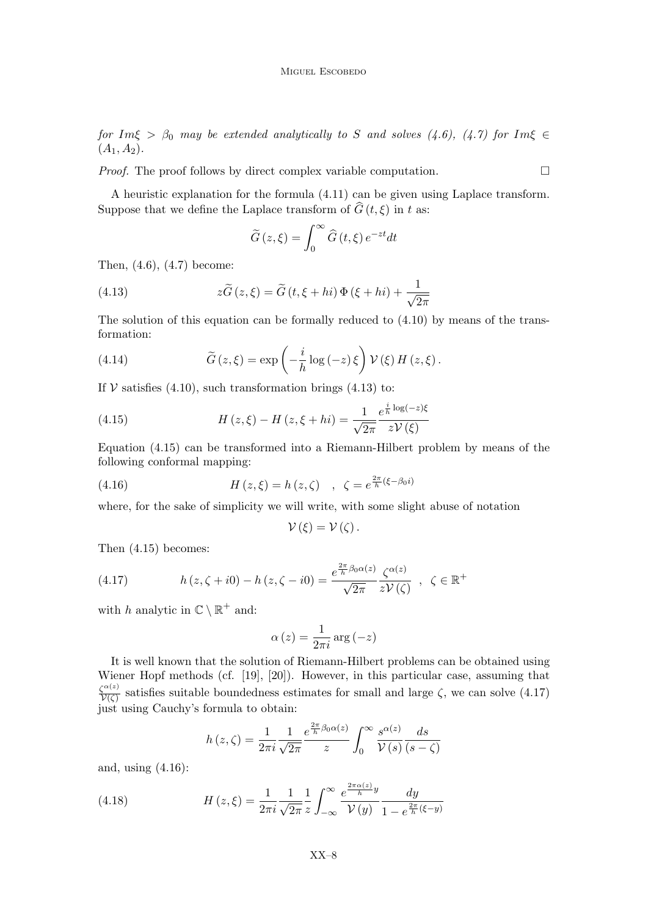for Im $\xi > \beta_0$  may be extended analytically to S and solves (4.6), (4.7) for Im $\xi \in$  $(A_1, A_2).$ 

*Proof.* The proof follows by direct complex variable computation.  $\Box$ 

A heuristic explanation for the formula (4.11) can be given using Laplace transform. Suppose that we define the Laplace transform of  $\widehat{G}(t, \xi)$  in t as:

$$
\widetilde{G}\left(z,\xi\right) = \int_0^\infty \widehat{G}\left(t,\xi\right)e^{-zt}dt
$$

Then, (4.6), (4.7) become:

(4.13) 
$$
z\widetilde{G}(z,\xi) = \widetilde{G}(t,\xi+hi)\Phi(\xi+hi) + \frac{1}{\sqrt{2\pi}}
$$

The solution of this equation can be formally reduced to (4.10) by means of the transformation:

(4.14) 
$$
\widetilde{G}(z,\xi) = \exp\left(-\frac{i}{h}\log(-z)\,\xi\right)\mathcal{V}(\xi)\,H(z,\xi)\,.
$$

If  $V$  satisfies (4.10), such transformation brings (4.13) to:

(4.15) 
$$
H(z,\xi) - H(z,\xi + hi) = \frac{1}{\sqrt{2\pi}} \frac{e^{\frac{i}{h}\log(-z)\xi}}{z\mathcal{V}(\xi)}
$$

Equation (4.15) can be transformed into a Riemann-Hilbert problem by means of the following conformal mapping:

(4.16) 
$$
H(z,\xi) = h(z,\zeta) , \ \zeta = e^{\frac{2\pi}{h}(\xi - \beta_0 i)}
$$

where, for the sake of simplicity we will write, with some slight abuse of notation

$$
\mathcal{V}\left( \xi\right) =\mathcal{V}\left( \zeta\right) .
$$

Then (4.15) becomes:

(4.17) 
$$
h(z,\zeta+i0)-h(z,\zeta-i0)=\frac{e^{\frac{2\pi}{h}\beta_0\alpha(z)}}{\sqrt{2\pi}}\frac{\zeta^{\alpha(z)}}{z\mathcal{V}(\zeta)}, \ \zeta\in\mathbb{R}^+
$$

with h analytic in  $\mathbb{C} \setminus \mathbb{R}^+$  and:

$$
\alpha(z) = \frac{1}{2\pi i} \arg(-z)
$$

It is well known that the solution of Riemann-Hilbert problems can be obtained using Wiener Hopf methods (cf. [19], [20]). However, in this particular case, assuming that  $\zeta^{\alpha(z)}$ satisfies suitable boundedness estimates for small and large  $\zeta$ , we can solve (4.17) just using Cauchy's formula to obtain:

$$
h(z,\zeta) = \frac{1}{2\pi i} \frac{1}{\sqrt{2\pi}} \frac{e^{\frac{2\pi}{h}\beta_0 \alpha(z)}}{z} \int_0^\infty \frac{s^{\alpha(z)}}{\mathcal{V}(s)} \frac{ds}{(s-\zeta)}
$$

 $\alpha$ 

and, using (4.16):

(4.18) 
$$
H(z,\xi) = \frac{1}{2\pi i} \frac{1}{\sqrt{2\pi}} \frac{1}{z} \int_{-\infty}^{\infty} \frac{e^{\frac{2\pi \alpha(z)}{\hbar}y}}{\mathcal{V}(y)} \frac{dy}{1 - e^{\frac{2\pi}{\hbar}(\xi - y)}}
$$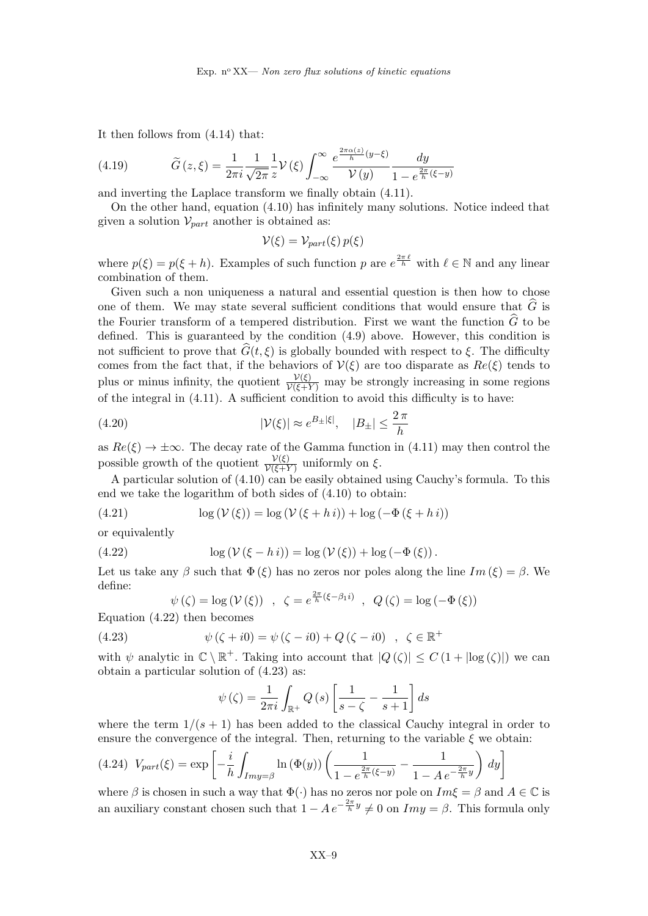It then follows from (4.14) that:

(4.19) 
$$
\widetilde{G}(z,\xi) = \frac{1}{2\pi i} \frac{1}{\sqrt{2\pi}} \frac{1}{z} \mathcal{V}(\xi) \int_{-\infty}^{\infty} \frac{e^{\frac{2\pi \alpha(z)}{\hbar}(y-\xi)}}{\mathcal{V}(y)} \frac{dy}{1 - e^{\frac{2\pi}{\hbar}(\xi-y)}}
$$

and inverting the Laplace transform we finally obtain (4.11).

On the other hand, equation (4.10) has infinitely many solutions. Notice indeed that given a solution  $\mathcal{V}_{part}$  another is obtained as:

$$
\mathcal{V}(\xi) = \mathcal{V}_{part}(\xi) p(\xi)
$$

where  $p(\xi) = p(\xi + h)$ . Examples of such function p are  $e^{\frac{2\pi \ell}{h}}$  with  $\ell \in \mathbb{N}$  and any linear combination of them.

Given such a non uniqueness a natural and essential question is then how to chose one of them. We may state several sufficient conditions that would ensure that  $\hat{G}$  is the Fourier transform of a tempered distribution. First we want the function  $\hat{G}$  to be defined. This is guaranteed by the condition (4.9) above. However, this condition is not sufficient to prove that  $\widehat{G}(t, \xi)$  is globally bounded with respect to  $\xi$ . The difficulty comes from the fact that, if the behaviors of  $V(\xi)$  are too disparate as  $Re(\xi)$  tends to plus or minus infinity, the quotient  $\frac{\mathcal{V}(\xi)}{\mathcal{V}(\xi+\mathcal{Y})}$  may be strongly increasing in some regions of the integral in (4.11). A sufficient condition to avoid this difficulty is to have:

(4.20) 
$$
|\mathcal{V}(\xi)| \approx e^{B_{\pm}|\xi|}, \quad |B_{\pm}| \leq \frac{2\pi}{h}
$$

as  $Re(\xi) \rightarrow \pm \infty$ . The decay rate of the Gamma function in (4.11) may then control the possible growth of the quotient  $\frac{\mathcal{V}(\xi)}{\mathcal{V}(\xi+\mathcal{Y})}$  uniformly on  $\xi$ .

A particular solution of  $(4.10)$  can be easily obtained using Cauchy's formula. To this end we take the logarithm of both sides of (4.10) to obtain:

(4.21) 
$$
\log(V(\xi)) = \log(V(\xi + h i)) + \log(-\Phi(\xi + h i))
$$

or equivalently

(4.22) 
$$
\log(V(\xi - h i)) = \log(V(\xi)) + \log(-\Phi(\xi)).
$$

Let us take any  $\beta$  such that  $\Phi(\xi)$  has no zeros nor poles along the line  $Im(\xi) = \beta$ . We define:

$$
\psi(\zeta) = \log(\mathcal{V}(\xi)) \quad , \quad \zeta = e^{\frac{2\pi}{h}(\xi - \beta_1 i)} \quad , \quad Q(\zeta) = \log(-\Phi(\xi))
$$

Equation (4.22) then becomes

(4.23) 
$$
\psi(\zeta + i0) = \psi(\zeta - i0) + Q(\zeta - i0) , \ \zeta \in \mathbb{R}^+
$$

with  $\psi$  analytic in  $\mathbb{C} \setminus \mathbb{R}^+$ . Taking into account that  $|Q(\zeta)| \leq C (1 + |\log(\zeta)|)$  we can obtain a particular solution of (4.23) as:

$$
\psi\left(\zeta\right) = \frac{1}{2\pi i} \int_{\mathbb{R}^+} Q\left(s\right) \left[\frac{1}{s-\zeta} - \frac{1}{s+1}\right] ds
$$

where the term  $1/(s + 1)$  has been added to the classical Cauchy integral in order to ensure the convergence of the integral. Then, returning to the variable  $\xi$  we obtain:

$$
(4.24) \ V_{part}(\xi) = \exp\left[-\frac{i}{h} \int_{Imy=\beta} \ln\left(\Phi(y)\right) \left(\frac{1}{1 - e^{\frac{2\pi}{h}(\xi - y)}} - \frac{1}{1 - Ae^{-\frac{2\pi}{h}y}}\right) \, dy\right]
$$

where  $\beta$  is chosen in such a way that  $\Phi(\cdot)$  has no zeros nor pole on  $Im\xi = \beta$  and  $A \in \mathbb{C}$  is an auxiliary constant chosen such that  $1 - Ae^{-\frac{2\pi}{h}y} \neq 0$  on  $Imy = \beta$ . This formula only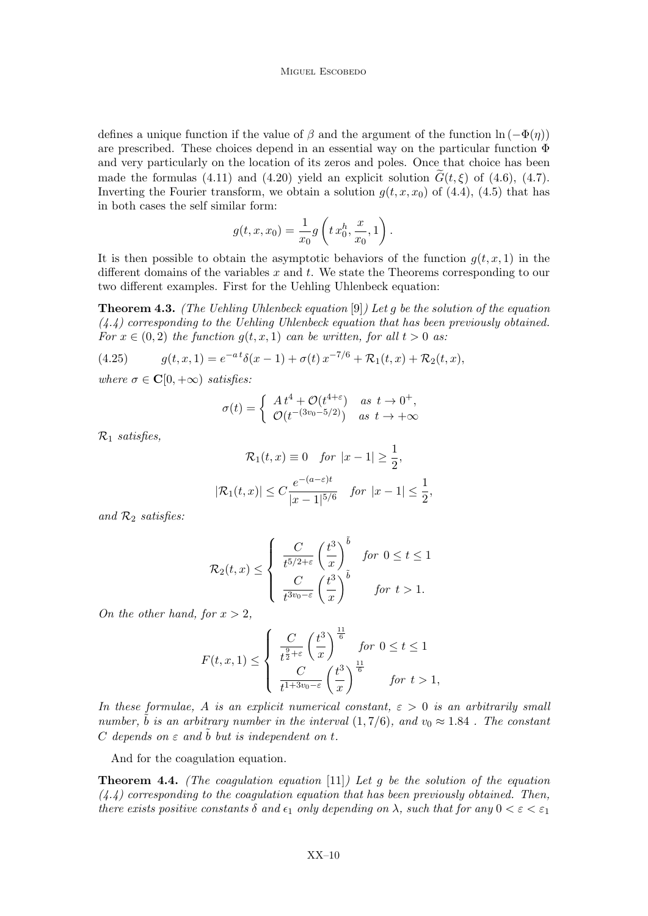defines a unique function if the value of  $\beta$  and the argument of the function  $\ln(-\Phi(\eta))$ are prescribed. These choices depend in an essential way on the particular function  $\Phi$ and very particularly on the location of its zeros and poles. Once that choice has been made the formulas (4.11) and (4.20) yield an explicit solution  $G(t, \xi)$  of (4.6), (4.7). Inverting the Fourier transform, we obtain a solution  $g(t, x, x_0)$  of (4.4), (4.5) that has in both cases the self similar form:

$$
g(t,x,x_0)=\frac{1}{x_0}g\left(t\,x_0^h,\frac{x}{x_0},1\right).
$$

It is then possible to obtain the asymptotic behaviors of the function  $q(t, x, 1)$  in the different domains of the variables  $x$  and  $t$ . We state the Theorems corresponding to our two different examples. First for the Uehling Uhlenbeck equation:

**Theorem 4.3.** (The Uehling Uhlenbeck equation [9]) Let g be the solution of the equation  $(4.4)$  corresponding to the Uehling Uhlenbeck equation that has been previously obtained. For  $x \in (0, 2)$  the function  $g(t, x, 1)$  can be written, for all  $t > 0$  as:

(4.25) 
$$
g(t,x,1) = e^{-at}\delta(x-1) + \sigma(t)x^{-7/6} + \mathcal{R}_1(t,x) + \mathcal{R}_2(t,x),
$$

where  $\sigma \in \mathbf{C}[0,+\infty)$  satisfies:

$$
\sigma(t) = \begin{cases} At^4 + \mathcal{O}(t^{4+\varepsilon}) & \text{as } t \to 0^+, \\ \mathcal{O}(t^{-(3v_0 - 5/2)}) & \text{as } t \to +\infty \end{cases}
$$

 $\mathcal{R}_1$  satisfies,

$$
\mathcal{R}_1(t, x) \equiv 0 \quad \text{for } |x - 1| \ge \frac{1}{2},
$$
\n
$$
|\mathcal{R}_1(t, x)| \le C \frac{e^{-(a-\varepsilon)t}}{|x - 1|^{5/6}} \quad \text{for } |x - 1| \le \frac{1}{2},
$$

and  $\mathcal{R}_2$  satisfies:

$$
\mathcal{R}_2(t,x) \leq \begin{cases} \frac{C}{t^{5/2+\varepsilon}} \left(\frac{t^3}{x}\right)^{\tilde{b}} & \text{for } 0 \leq t \leq 1\\ \frac{C}{t^{3v_0-\varepsilon}} \left(\frac{t^3}{x}\right)^{\tilde{b}} & \text{for } t > 1. \end{cases}
$$

On the other hand, for  $x > 2$ ,

$$
F(t, x, 1) \le \begin{cases} \frac{C}{t^{\frac{9}{2} + \varepsilon}} \left(\frac{t^3}{x}\right)^{\frac{11}{6}} & \text{for } 0 \le t \le 1\\ \frac{C}{t^{1 + 3v_0 - \varepsilon}} \left(\frac{t^3}{x}\right)^{\frac{11}{6}} & \text{for } t > 1, \end{cases}
$$

In these formulae, A is an explicit numerical constant,  $\varepsilon > 0$  is an arbitrarily small number,  $\ddot{b}$  is an arbitrary number in the interval (1,7/6), and  $v_0 \approx 1.84$ . The constant C depends on  $\varepsilon$  and  $\tilde{b}$  but is independent on t.

And for the coagulation equation.

**Theorem 4.4.** (The coagulation equation [11]) Let q be the solution of the equation  $(4.4)$  corresponding to the coagulation equation that has been previously obtained. Then, there exists positive constants  $\delta$  and  $\epsilon_1$  only depending on  $\lambda$ , such that for any  $0 < \epsilon < \epsilon_1$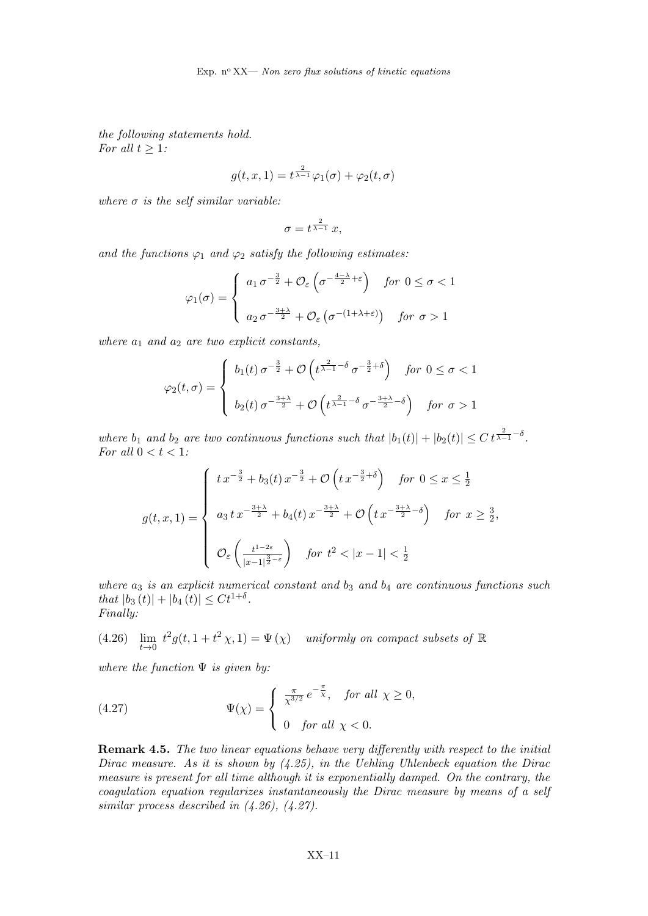the following statements hold. For all  $t \geq 1$ :

$$
g(t, x, 1) = t^{\frac{2}{\lambda - 1}} \varphi_1(\sigma) + \varphi_2(t, \sigma)
$$

where  $\sigma$  is the self similar variable:

$$
\sigma = t^{\frac{2}{\lambda - 1}} \, x,
$$

and the functions  $\varphi_1$  and  $\varphi_2$  satisfy the following estimates:

$$
\varphi_1(\sigma) = \begin{cases} a_1 \, \sigma^{-\frac{3}{2}} + \mathcal{O}_{\varepsilon} \left( \sigma^{-\frac{4-\lambda}{2} + \varepsilon} \right) & \text{for } 0 \le \sigma < 1 \\ a_2 \, \sigma^{-\frac{3+\lambda}{2}} + \mathcal{O}_{\varepsilon} \left( \sigma^{-(1+\lambda+\varepsilon)} \right) & \text{for } \sigma > 1 \end{cases}
$$

where  $a_1$  and  $a_2$  are two explicit constants,

$$
\varphi_2(t,\sigma) = \begin{cases} b_1(t)\,\sigma^{-\frac{3}{2}} + \mathcal{O}\left(t^{\frac{2}{\lambda-1}-\delta}\,\sigma^{-\frac{3}{2}+\delta}\right) & \text{for } 0 \le \sigma < 1 \\ b_2(t)\,\sigma^{-\frac{3+\lambda}{2}} + \mathcal{O}\left(t^{\frac{2}{\lambda-1}-\delta}\,\sigma^{-\frac{3+\lambda}{2}-\delta}\right) & \text{for } \sigma > 1 \end{cases}
$$

where  $b_1$  and  $b_2$  are two continuous functions such that  $|b_1(t)| + |b_2(t)| \leq C t^{\frac{2}{\lambda-1} - \delta}$ . For all  $0 < t < 1$ :

$$
g(t, x, 1) = \begin{cases} \n t \, x^{-\frac{3}{2}} + b_3(t) \, x^{-\frac{3}{2}} + \mathcal{O}\left(t \, x^{-\frac{3}{2} + \delta}\right) & \text{for } 0 \le x \le \frac{1}{2} \\
 a_3 \, t \, x^{-\frac{3+\lambda}{2}} + b_4(t) \, x^{-\frac{3+\lambda}{2}} + \mathcal{O}\left(t \, x^{-\frac{3+\lambda}{2} - \delta}\right) & \text{for } x \ge \frac{3}{2}, \\
 \mathcal{O}_{\varepsilon}\left(\frac{t^{1-2\varepsilon}}{|x-1|^{\frac{3}{2}-\varepsilon}}\right) & \text{for } t^2 < |x-1| < \frac{1}{2} \n\end{cases}
$$

where  $a_3$  is an explicit numerical constant and  $b_3$  and  $b_4$  are continuous functions such that  $|b_3(t)| + |b_4(t)| \leq Ct^{1+\delta}$ . Finally:

(4.26) 
$$
\lim_{t \to 0} t^2 g(t, 1 + t^2 \chi, 1) = \Psi(\chi) \quad \text{uniformly on compact subsets of } \mathbb{R}
$$

where the function  $\Psi$  is given by:

(4.27) 
$$
\Psi(\chi) = \begin{cases} \frac{\pi}{\chi^{3/2}} e^{-\frac{\pi}{\chi}}, & \text{for all } \chi \ge 0, \\ 0 & \text{for all } \chi < 0. \end{cases}
$$

Remark 4.5. The two linear equations behave very differently with respect to the initial Dirac measure. As it is shown by  $(4.25)$ , in the Uehling Uhlenbeck equation the Dirac measure is present for all time although it is exponentially damped. On the contrary, the coagulation equation regularizes instantaneously the Dirac measure by means of a self similar process described in (4.26), (4.27).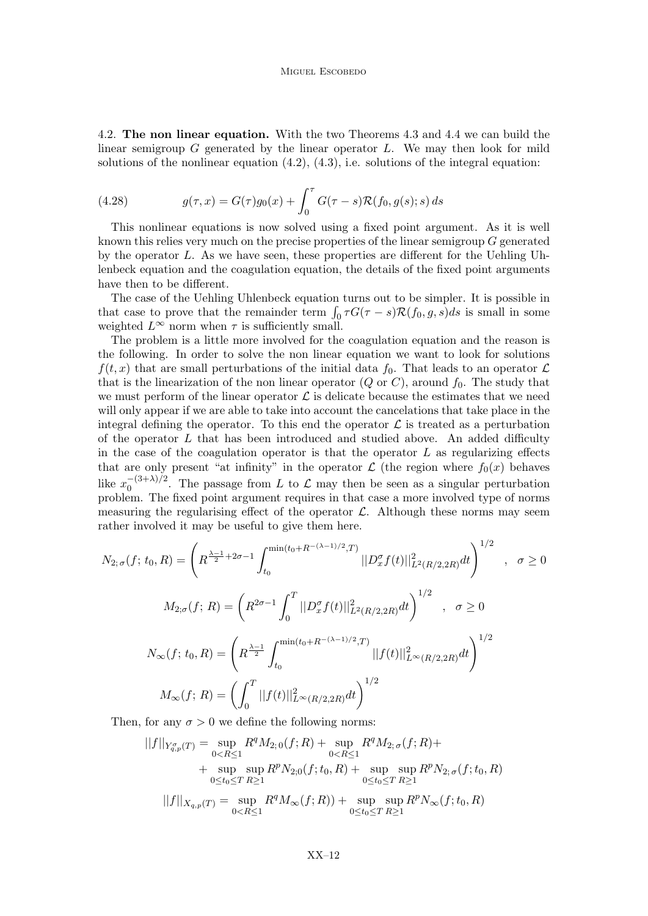4.2. The non linear equation. With the two Theorems 4.3 and 4.4 we can build the linear semigroup  $G$  generated by the linear operator  $L$ . We may then look for mild solutions of the nonlinear equation  $(4.2)$ ,  $(4.3)$ , i.e. solutions of the integral equation:

(4.28) 
$$
g(\tau, x) = G(\tau)g_0(x) + \int_0^{\tau} G(\tau - s) \mathcal{R}(f_0, g(s); s) ds
$$

This nonlinear equations is now solved using a fixed point argument. As it is well known this relies very much on the precise properties of the linear semigroup G generated by the operator L. As we have seen, these properties are different for the Uehling Uhlenbeck equation and the coagulation equation, the details of the fixed point arguments have then to be different.

The case of the Uehling Uhlenbeck equation turns out to be simpler. It is possible in that case to prove that the remainder term  $\int_0^t \tau G(\tau - s) \mathcal{R}(f_0, g, s) ds$  is small in some weighted  $L^{\infty}$  norm when  $\tau$  is sufficiently small.

The problem is a little more involved for the coagulation equation and the reason is the following. In order to solve the non linear equation we want to look for solutions  $f(t, x)$  that are small perturbations of the initial data  $f_0$ . That leads to an operator  $\mathcal L$ that is the linearization of the non linear operator  $(Q \text{ or } C)$ , around  $f_0$ . The study that we must perform of the linear operator  $\mathcal L$  is delicate because the estimates that we need will only appear if we are able to take into account the cancelations that take place in the integral defining the operator. To this end the operator  $\mathcal L$  is treated as a perturbation of the operator L that has been introduced and studied above. An added difficulty in the case of the coagulation operator is that the operator  $L$  as regularizing effects that are only present "at infinity" in the operator  $\mathcal L$  (the region where  $f_0(x)$  behaves like  $x_0^{-(3+\lambda)/2}$ . The passage from L to L may then be seen as a singular perturbation problem. The fixed point argument requires in that case a more involved type of norms measuring the regularising effect of the operator  $\mathcal{L}$ . Although these norms may seem rather involved it may be useful to give them here.

$$
N_{2; \sigma}(f; t_0, R) = \left(R^{\frac{\lambda - 1}{2} + 2\sigma - 1} \int_{t_0}^{\min(t_0 + R - (\lambda - 1)/2, T)} ||D_x^{\sigma} f(t)||_{L^2(R/2, 2R)}^2 dt\right)^{1/2} , \quad \sigma \ge 0
$$
  

$$
M_{2; \sigma}(f; R) = \left(R^{2\sigma - 1} \int_0^T ||D_x^{\sigma} f(t)||_{L^2(R/2, 2R)}^2 dt\right)^{1/2} , \quad \sigma \ge 0
$$
  

$$
N_{\infty}(f; t_0, R) = \left(R^{\frac{\lambda - 1}{2}} \int_{t_0}^{\min(t_0 + R - (\lambda - 1)/2, T)} ||f(t)||_{L^{\infty}(R/2, 2R)}^2 dt\right)^{1/2}
$$
  

$$
M_{\infty}(f; R) = \left(\int_0^T ||f(t)||_{L^{\infty}(R/2, 2R)}^2 dt\right)^{1/2}
$$

Then, for any  $\sigma > 0$  we define the following norms:

$$
||f||_{Y_{q,p}^{\sigma}(T)} = \sup_{0 < R \le 1} R^q M_{2;0}(f;R) + \sup_{0 < R \le 1} R^q M_{2;\sigma}(f;R) +
$$
\n
$$
+ \sup_{0 \le t_0 \le T} \sup_{R \ge 1} R^p N_{2;0}(f;t_0,R) + \sup_{0 \le t_0 \le T} \sup_{R \ge 1} R^p N_{2;\sigma}(f;t_0,R)
$$
\n
$$
||f||_{X_{q,p}(T)} = \sup_{0 < R \le 1} R^q M_{\infty}(f;R) + \sup_{0 \le t_0 \le T} \sup_{R \ge 1} R^p N_{\infty}(f;t_0,R)
$$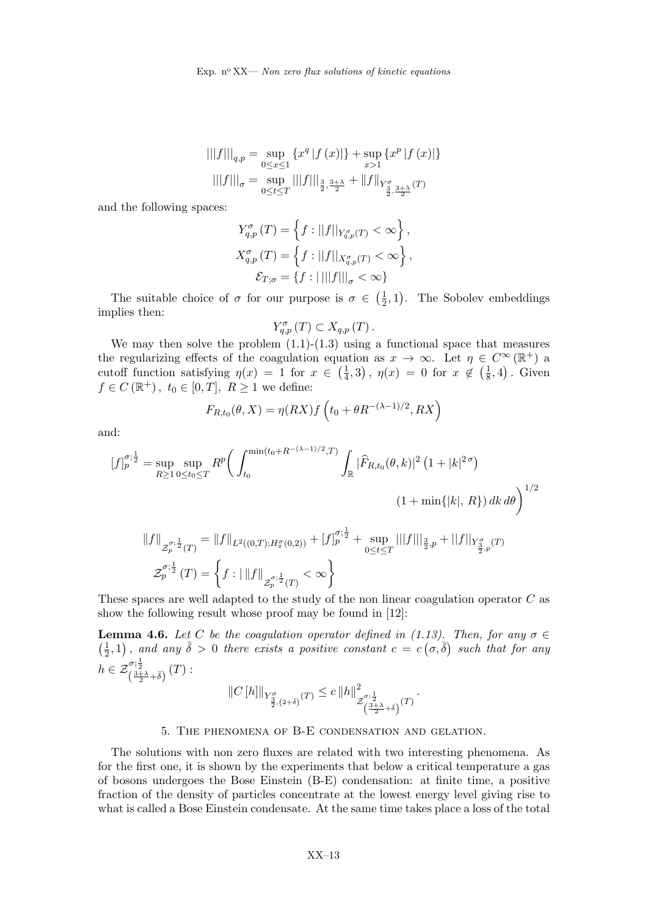$$
|||f|||_{q,p} = \sup_{0 \le x \le 1} \{x^q |f(x)|\} + \sup_{x > 1} \{x^p |f(x)|\}
$$
  

$$
|||f|||_{\sigma} = \sup_{0 \le t \le T} |||f|||_{\frac{3}{2}, \frac{3+\lambda}{2}} + ||f||_{Y^{\sigma}_{\frac{3}{2}, \frac{3+\lambda}{2}}(T)}
$$

and the following spaces:

$$
Y_{q,p}^{\sigma}(T) = \left\{ f : ||f||_{Y_{q,p}^{\sigma}(T)} < \infty \right\},\,
$$
  

$$
X_{q,p}^{\sigma}(T) = \left\{ f : ||f||_{X_{q,p}^{\sigma}(T)} < \infty \right\},\,
$$
  

$$
\mathcal{E}_{T;\sigma} = \left\{ f : ||||f|||_{\sigma} < \infty \right\}
$$

The suitable choice of  $\sigma$  for our purpose is  $\sigma \in \left(\frac{1}{2}\right)$  $(\frac{1}{2}, 1)$ . The Sobolev embeddings implies then:

$$
Y_{q,p}^{\sigma}\left(T\right)\subset X_{q,p}\left(T\right).
$$

We may then solve the problem  $(1.1)-(1.3)$  using a functional space that measures the regularizing effects of the coagulation equation as  $x \to \infty$ . Let  $\eta \in C^{\infty}(\mathbb{R}^+)$  a cutoff function satisfying  $\eta(x) = 1$  for  $x \in \left(\frac{1}{4}\right)$  $(\frac{1}{4},3), \eta(x) = 0 \text{ for } x \notin (\frac{1}{8})$  $(\frac{1}{8}, 4)$ . Given  $f \in C(\mathbb{R}^+)$ ,  $t_0 \in [0, T]$ ,  $R \ge 1$  we define:

$$
F_{R,t_0}(\theta, X) = \eta(RX) f\left(t_0 + \theta R^{-(\lambda - 1)/2}, RX\right)
$$

and:

$$
[f]_p^{\sigma;\frac{1}{2}} = \sup_{R \ge 1} \sup_{0 \le t_0 \le T} R^p \bigg( \int_{t_0}^{\min(t_0 + R^{-(\lambda - 1)/2}, T)} \int_{\mathbb{R}} |\widehat{F}_{R,t_0}(\theta, k)|^2 (1 + |k|^{2\sigma})
$$
  

$$
(1 + \min\{|k|, R\}) dk d\theta \bigg)^{1/2}
$$
  

$$
||f||_{\mathcal{Z}_p^{\sigma;\frac{1}{2}}(T)} = ||f||_{L^2((0,T);H_x^{\sigma}(0,2))} + [f]_p^{\sigma;\frac{1}{2}} + \sup_{0 \le t \le T} |||f|||_{\frac{3}{2},p} + ||f||_{Y_{\frac{3}{2},p}^{\sigma}(T)}
$$
  

$$
\mathcal{Z}_p^{\sigma;\frac{1}{2}}(T) = \left\{ f : |||f||_{\mathcal{Z}_p^{\sigma;\frac{1}{2}}(T)} < \infty \right\}
$$

These spaces are well adapted to the study of the non linear coagulation operator C as show the following result whose proof may be found in [12]:

**Lemma 4.6.** Let C be the coagulation operator defined in (1.13). Then, for any  $\sigma \in$  $\left(\frac{1}{2}\right)$  $(\frac{1}{2},1)$ , and any  $\bar{\delta} > 0$  there exists a positive constant  $c = c(\sigma, \bar{\delta})$  such that for any  $h \in \mathcal{Z}_{\left(\frac{3+\lambda}{2}+\bar{\delta}\right)}^{\sigma;\frac{1}{2}}(T)$ :  $\Omega$ 

$$
||C[h]||_{Y^{\sigma}_{\frac{3}{2},(2+\bar{\delta})}(T)} \leq c||h||^{2}_{\mathcal{Z}^{\sigma;\frac{1}{2}}_{\left(\frac{3+\lambda}{2}+\bar{\delta}\right)}(T)}.
$$

### 5. The phenomena of B-E condensation and gelation.

The solutions with non zero fluxes are related with two interesting phenomena. As for the first one, it is shown by the experiments that below a critical temperature a gas of bosons undergoes the Bose Einstein (B-E) condensation: at finite time, a positive fraction of the density of particles concentrate at the lowest energy level giving rise to what is called a Bose Einstein condensate. At the same time takes place a loss of the total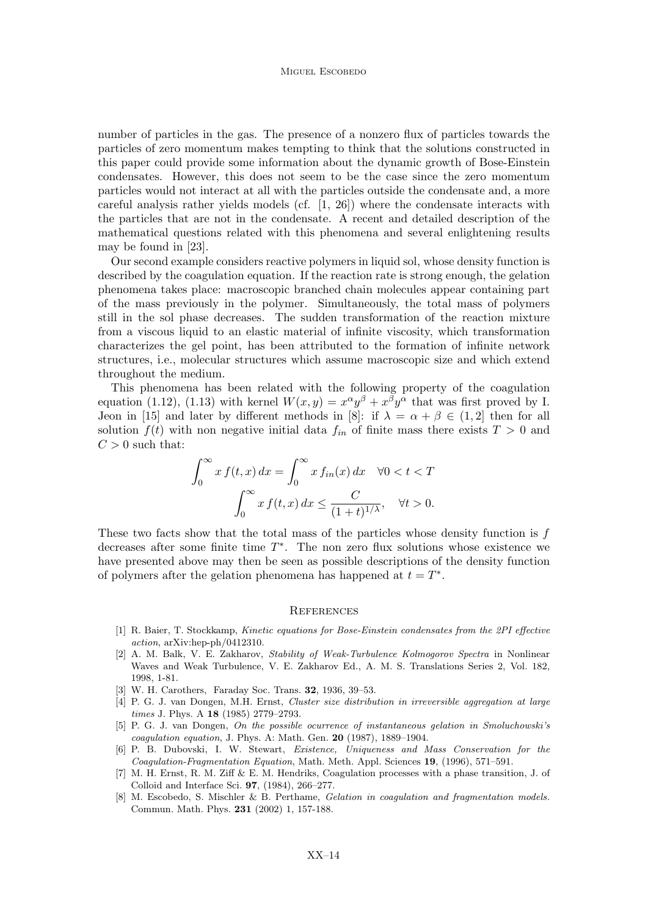number of particles in the gas. The presence of a nonzero flux of particles towards the particles of zero momentum makes tempting to think that the solutions constructed in this paper could provide some information about the dynamic growth of Bose-Einstein condensates. However, this does not seem to be the case since the zero momentum particles would not interact at all with the particles outside the condensate and, a more careful analysis rather yields models (cf. [1, 26]) where the condensate interacts with the particles that are not in the condensate. A recent and detailed description of the mathematical questions related with this phenomena and several enlightening results may be found in [23].

Our second example considers reactive polymers in liquid sol, whose density function is described by the coagulation equation. If the reaction rate is strong enough, the gelation phenomena takes place: macroscopic branched chain molecules appear containing part of the mass previously in the polymer. Simultaneously, the total mass of polymers still in the sol phase decreases. The sudden transformation of the reaction mixture from a viscous liquid to an elastic material of infinite viscosity, which transformation characterizes the gel point, has been attributed to the formation of infinite network structures, i.e., molecular structures which assume macroscopic size and which extend throughout the medium.

This phenomena has been related with the following property of the coagulation equation (1.12), (1.13) with kernel  $W(x, y) = x^{\alpha}y^{\beta} + x^{\beta}y^{\alpha}$  that was first proved by I. Jeon in [15] and later by different methods in [8]: if  $\lambda = \alpha + \beta \in (1, 2]$  then for all solution  $f(t)$  with non negative initial data  $f_{in}$  of finite mass there exists  $T > 0$  and  $C > 0$  such that:

$$
\int_0^\infty x f(t, x) dx = \int_0^\infty x f_{in}(x) dx \quad \forall 0 < t < T
$$

$$
\int_0^\infty x f(t, x) dx \le \frac{C}{(1 + t)^{1/\lambda}}, \quad \forall t > 0.
$$

These two facts show that the total mass of the particles whose density function is  $f$ decreases after some finite time  $T^*$ . The non zero flux solutions whose existence we have presented above may then be seen as possible descriptions of the density function of polymers after the gelation phenomena has happened at  $t = T^*$ .

#### **REFERENCES**

- [1] R. Baier, T. Stockkamp, Kinetic equations for Bose-Einstein condensates from the 2PI effective action, arXiv:hep-ph/0412310.
- [2] A. M. Balk, V. E. Zakharov, Stability of Weak-Turbulence Kolmogorov Spectra in Nonlinear Waves and Weak Turbulence, V. E. Zakharov Ed., A. M. S. Translations Series 2, Vol. 182, 1998, 1-81.
- [3] W. H. Carothers, Faraday Soc. Trans. 32, 1936, 39–53.
- [4] P. G. J. van Dongen, M.H. Ernst, Cluster size distribution in irreversible aggregation at large times J. Phys. A 18 (1985) 2779-2793.
- [5] P. G. J. van Dongen, On the possible ocurrence of instantaneous gelation in Smoluchowski's coagulation equation, J. Phys. A: Math. Gen. 20 (1987), 1889–1904.
- [6] P. B. Dubovski, I. W. Stewart, Existence, Uniqueness and Mass Conservation for the Coagulation-Fragmentation Equation, Math. Meth. Appl. Sciences 19, (1996), 571–591.
- [7] M. H. Ernst, R. M. Ziff & E. M. Hendriks, Coagulation processes with a phase transition, J. of Colloid and Interface Sci. 97, (1984), 266–277.
- [8] M. Escobedo, S. Mischler & B. Perthame, *Gelation in coagulation and fragmentation models.* Commun. Math. Phys. 231 (2002) 1, 157-188.